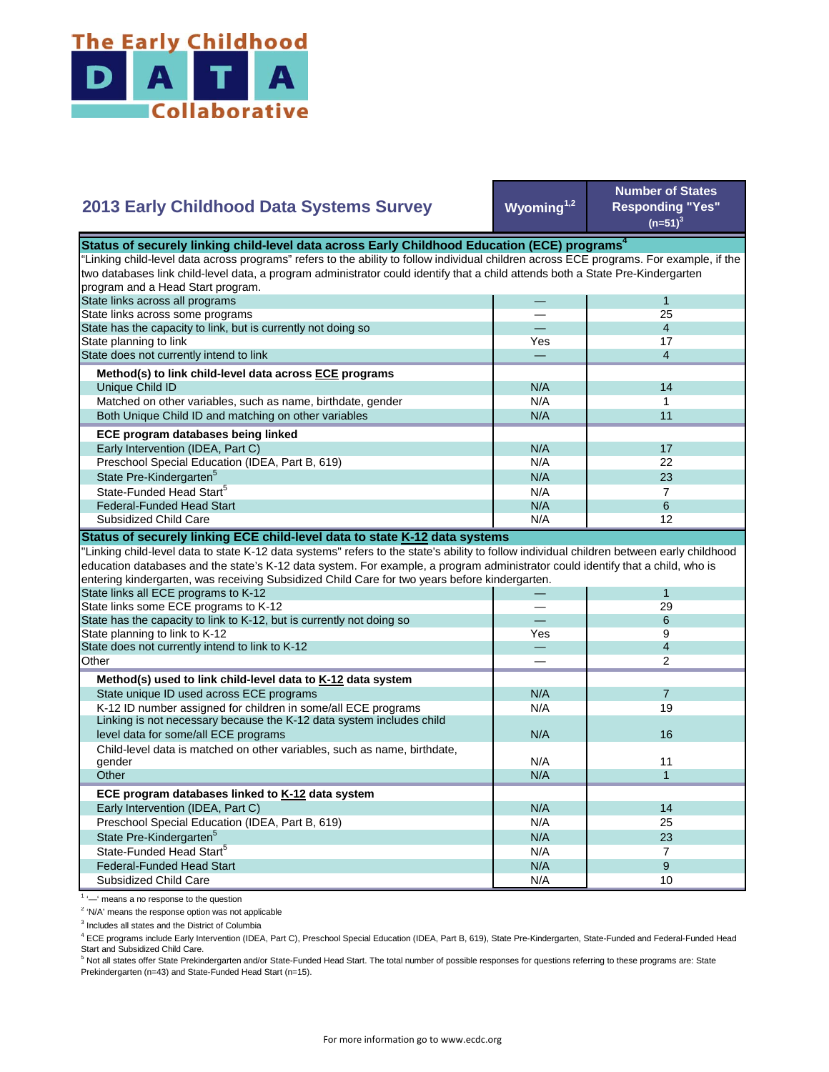

## **Wyoming1,2 Number of States Responding "Yes"**   $(n=51)^{3}$ — 1 — 25 — 4 Yes **17** — 4 N/A 14  $N/A$  1 N/A 11  $N/A$  17 N/A 22  $N/A$  23  $N/A$  7 State Pre-Kindergarten<sup>5</sup> State-Funded Head Start<sup>5</sup> Matched on other variables, such as name, birthdate, gender Both Unique Child ID and matching on other variables  **ECE program databases being linked**  Early Intervention (IDEA, Part C) Preschool Special Education (IDEA, Part B, 619) State has the capacity to link, but is currently not doing so State planning to link State does not currently intend to link  **Method(s) to link child-level data across ECE programs** Unique Child ID **2013 Early Childhood Data Systems Survey Status of securely linking child-level data across Early Childhood Education (ECE) programs** "Linking child-level data across programs" refers to the ability to follow individual children across ECE programs. For example, if the two databases link child-level data, a program administrator could identify that a child attends both a State Pre-Kindergarten program and a Head Start program. State links across all programs State links across some programs  $N/A$  6  $N/A$  12 — 1 — 29 — 6  $\begin{array}{ccc} \mathsf{Yes} & \mathsf{9} \\ - & 4 \end{array}$ — 4 — 2  $N/A$  7 N/A 19 N/A N/A 11  $N/A$  1 N/A 14 N/A 25 N/A 23  $N/A$  7  $N/A$  9 N/A 10 Preschool Special Education (IDEA, Part B, 619) State Pre-Kindergarten<sup>5</sup> State-Funded Head Start<sup>5</sup> Federal-Funded Head Start Subsidized Child Care Child-level data is matched on other variables, such as name, birthdate, gender **Other ECE program databases linked to K-12 data system** Early Intervention (IDEA, Part C) **Other Method(s) used to link child-level data to K-12 data system** State unique ID used across ECE programs K-12 ID number assigned for children in some/all ECE programs Linking is not necessary because the K-12 data system includes child level data for some/all ECE programs 16 and 16 and 16 and 16 and 16 and 16 and 16 and 16 and 16 and 16 and 16  $\mu$ "Linking child-level data to state K-12 data systems" refers to the state's ability to follow individual children between early childhood education databases and the state's K-12 data system. For example, a program administrator could identify that a child, who is entering kindergarten, was receiving Subsidized Child Care for two years before kindergarten. State links all ECE programs to K-12 State links some ECE programs to K-12 State has the capacity to link to K-12, but is currently not doing so State planning to link to K-12 State does not currently intend to link to K-12 Federal-Funded Head Start Subsidized Child Care **Status of securely linking ECE child-level data to state K-12 data systems**

<sup>1</sup> '-' means a no response to the question

<sup>2</sup> 'N/A' means the response option was not applicable

<sup>3</sup> Includes all states and the District of Columbia

<sup>4</sup> ECE programs include Early Intervention (IDEA, Part C), Preschool Special Education (IDEA, Part B, 619), State Pre-Kindergarten, State-Funded and Federal-Funded Head Start and Subsidized Child Care.

<sup>5</sup> Not all states offer State Prekindergarten and/or State-Funded Head Start. The total number of possible responses for questions referring to these programs are: State Prekindergarten (n=43) and State-Funded Head Start (n=15).